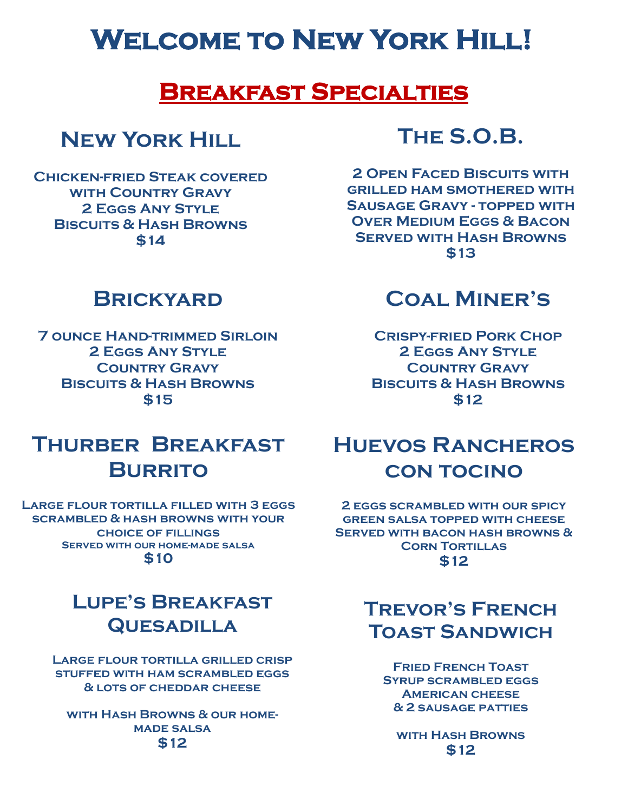# **Welcome to New York Hill!**

#### **Breakfast Specialties**

## **New York Hill**

**Chicken-fried Steak covered with Country Gravy 2 Eggs Any Style Biscuits & Hash Browns \$14**

## **The S.O.B.**

**2 OPEN FACED BISCUITS WITH grilled ham smothered with Sausage Gravy - topped with Over Medium Eggs & Bacon Served with Hash Browns \$13**

## **Brickyard**

**7 ounce Hand-trimmed Sirloin 2 Eggs Any Style Country Gravy Biscuits & Hash Browns \$15**

## **Coal Miner's**

**Crispy-fried Pork Chop 2 Eggs Any Style Country Gravy Biscuits & Hash Browns \$12**

# **Thurber Breakfast Burrito**

**Large flour tortilla filled with 3 eggs scrambled & hash browns with your choice of fillings Served with our home-made salsa \$10**

## **Lupe's Breakfast Quesadilla**

**Large flour tortilla grilled crisp stuffed with ham scrambled eggs & lots of cheddar cheese**

**with Hash Browns & our homemade salsa \$12**

## **Huevos Rancheros con tocino**

**2 eggs scrambled with our spicy green salsa topped with cheese Served with bacon hash browns & CORN TORTILLAS \$12**

### **Trevor's French Toast Sandwich**

**Fried French Toast Syrup scrambled eggs American cheese & 2 sausage patties**

**with Hash Browns \$12**